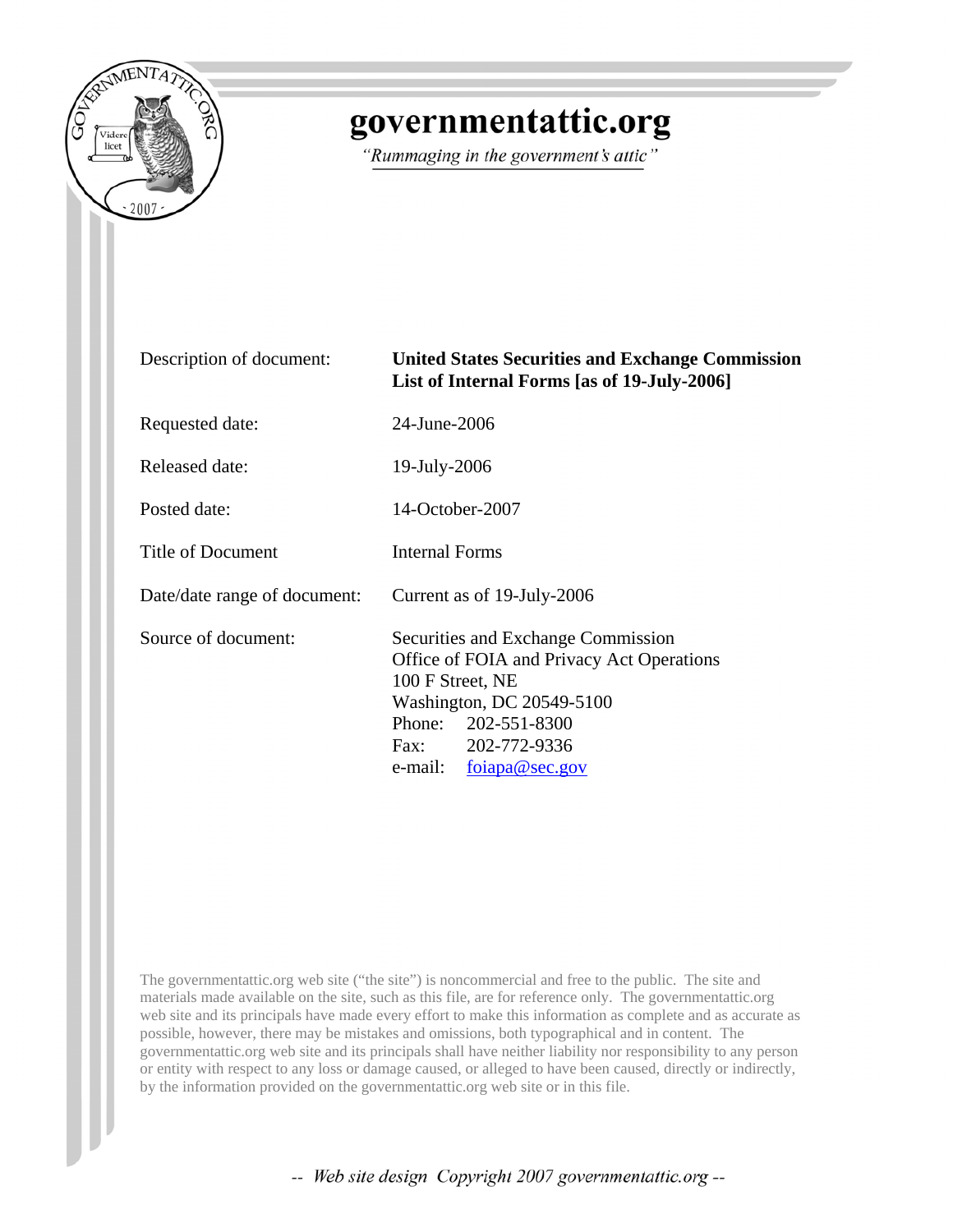

# governmentattic.org

"Rummaging in the government's attic"

| Description of document:     | <b>United States Securities and Exchange Commission</b><br>List of Internal Forms [as of 19-July-2006]                                                                                                   |
|------------------------------|----------------------------------------------------------------------------------------------------------------------------------------------------------------------------------------------------------|
| Requested date:              | 24-June-2006                                                                                                                                                                                             |
| Released date:               | 19-July-2006                                                                                                                                                                                             |
| Posted date:                 | 14-October-2007                                                                                                                                                                                          |
| <b>Title of Document</b>     | Internal Forms                                                                                                                                                                                           |
| Date/date range of document: | Current as of 19-July-2006                                                                                                                                                                               |
| Source of document:          | Securities and Exchange Commission<br>Office of FOIA and Privacy Act Operations<br>100 F Street, NE<br>Washington, DC 20549-5100<br>Phone: 202-551-8300<br>Fax: 202-772-9336<br>e-mail: $foiapa@sec.gov$ |

The governmentattic.org web site ("the site") is noncommercial and free to the public. The site and materials made available on the site, such as this file, are for reference only. The governmentattic.org web site and its principals have made every effort to make this information as complete and as accurate as possible, however, there may be mistakes and omissions, both typographical and in content. The governmentattic.org web site and its principals shall have neither liability nor responsibility to any person or entity with respect to any loss or damage caused, or alleged to have been caused, directly or indirectly, by the information provided on the governmentattic.org web site or in this file.

-- Web site design Copyright 2007 governmentattic.org --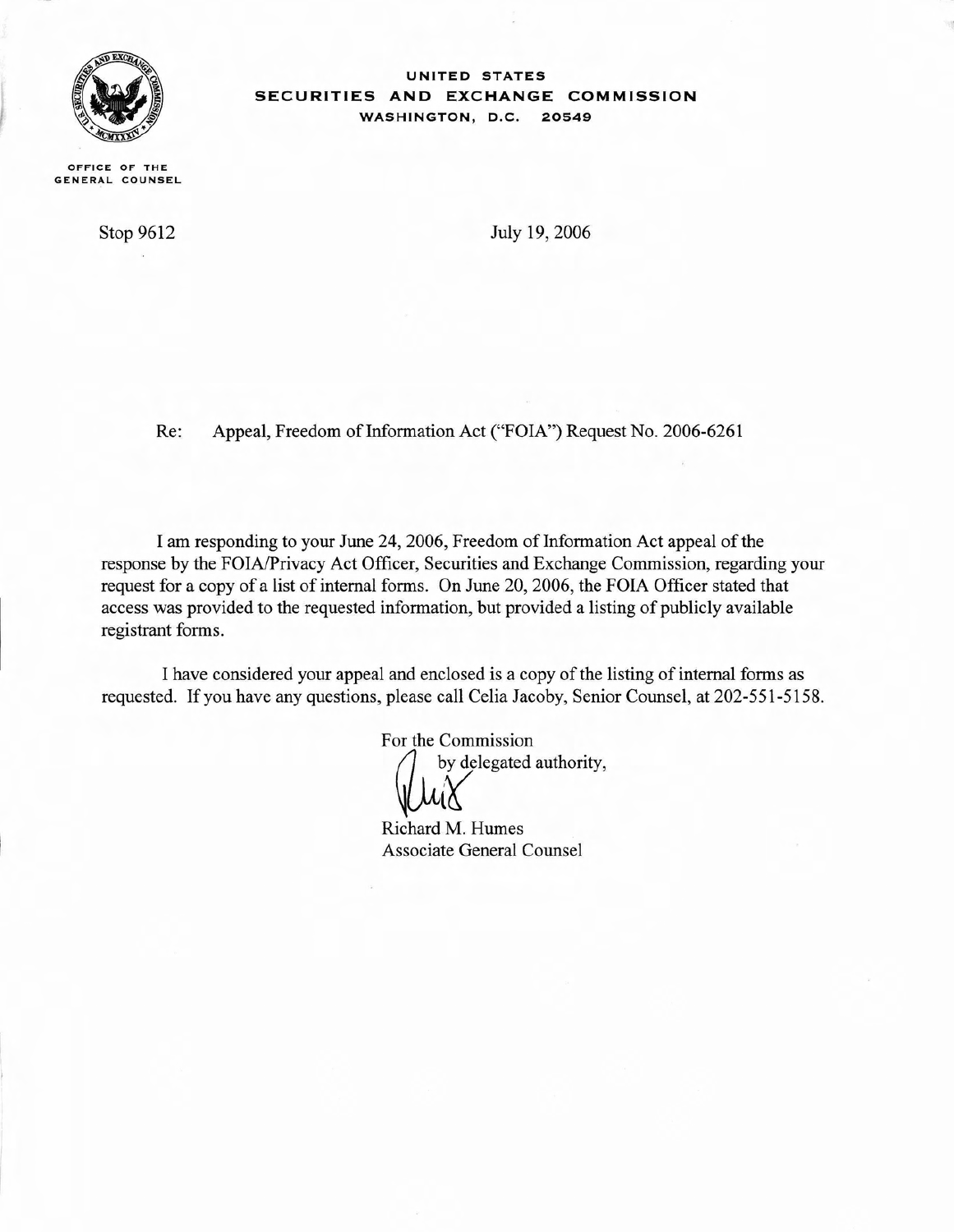

OFFICE OF THE GENERAL COUNSEL

Stop 9612

**UNITED STATES SECURITIES AND EXCHANGE COMMISSION WASHINGTON,** D.C. **20549**

July 19,2006

Re: Appeal, Freedom of Information Act ("FOIA") Request No. 2006-6261

I am responding to your June 24, 2006, Freedom of Information Act appeal of the response by the FOIA/Privacy Act Officer, Securities and Exchange Commission, regarding your request for a copy of a list of internal forms. On June 20, 2006, the FOIA Officer stated that access was provided to the requested information, but provided a listing of publicly available registrant forms.

I have considered your appeal and enclosed is a copy of the listing of internal forms as requested. If you have any questions, please call Celia Jacoby, Senior Counsel, at 202-551-5158.

> For the Commission by delegated authority,

Richard M. Humes Associate General Counsel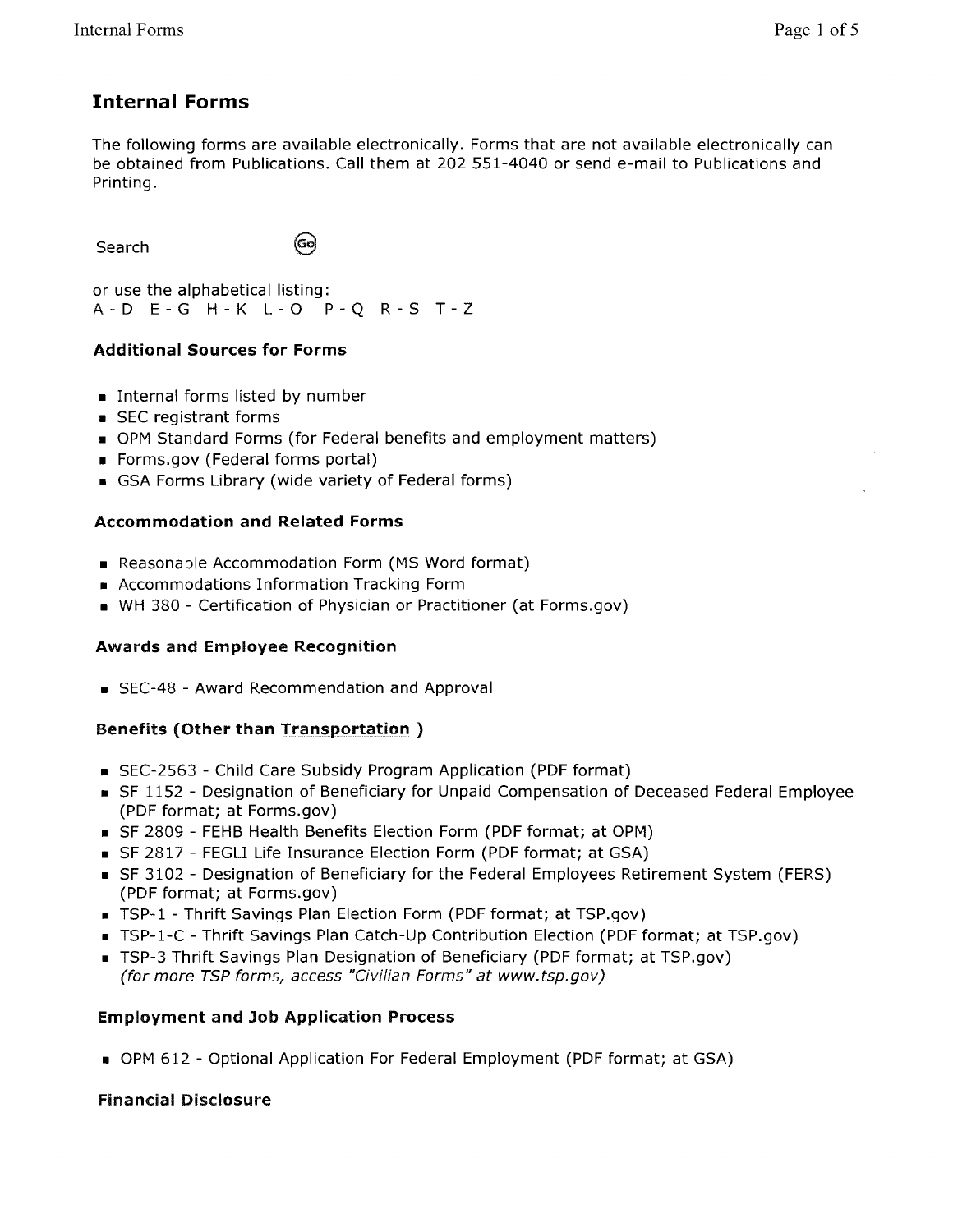# **Internal Forms**

The following forms are available electronically. Forms that are not available electronically can be obtained from Publications. Call them at 202 551-4040 or send e-mail to Publications and Printing.

**Search** 

(၁၀)

or use the alphabetical listing: A-D E-G H-K L-O P-Q R-S T-Z

#### Additional Sources for Forms

- Internal forms listed by number
- SEC registrant forms
- OPM Standard Forms (for Federal benefits and employment matters)
- Forms.gov (Federal forms portal)
- GSA Forms Library (wide variety of Federal forms)

#### Accommodation and Related Forms

- Reasonable Accommodation Form (MS Word format)
- Accommodations Information Tracking Form
- WH 380 Certification of Physician or Practitioner (at Forms.gov)

#### Awards and Employee Recognition

• SEC-48 - Award Recommendation and Approval

#### Benefits (Other than Transportation )

- SEC-2563 Child Care Subsidy Program Application (PDF format)
- SF 1152 Designation of Beneficiary for Unpaid Compensation of Deceased Federal Employee (PDF format; at Forms.gov)
- SF 2809 FEHB Health Benefits Election Form (PDF format; at OPM)
- SF 2817 FEGLI Life Insurance Election Form (PDF format; at GSA)
- SF 3102 Designation of Beneficiary for the Federal Employees Retirement System (FERS) (PDF format; at Forms.gov)
- TSP-1 Thrift Savings Plan Election Form (PDF format; at TSP.gov)
- TSP-1-C Thrift Savings Plan Catch-Up Contribution Election (PDF format; at TSP.gov)
- TSP-3 Thrift Savings Plan Designation of Beneficiary (PDF format; at TSP.gov) (for more TSP forms, access "Civilian Forms" at www.tsp.gov)

#### Employment and Job Application Process

• OPM 612 - Optional Application For Federal Employment (PDF format; at GSA)

#### Financial Disclosure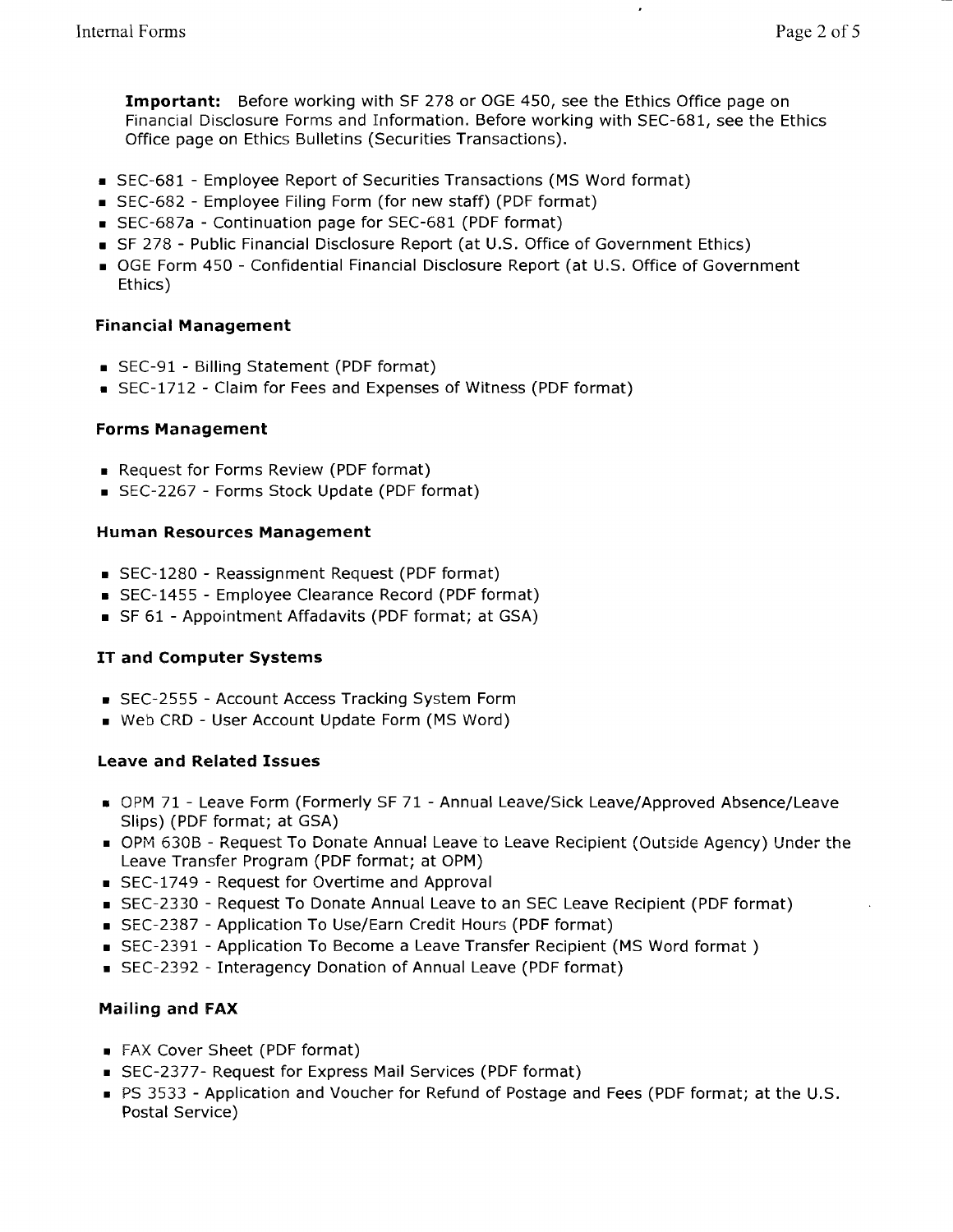$\overline{\phantom{a}}$ 

- SEC-681 Employee Report of Securities Transactions (MS Word format)
- SEC-682 Employee Filing Form (for new staff) (PDF format)

Office page on Ethics Bulletins (Securities Transactions).

- SEC-687a Continuation page for SEC-681 (PDF format)
- SF 278 Public Financial Disclosure Report (at U.S. Office of Government Ethics)
- OGE Form 450 Confidential Financial Disclosure Report (at U.S. Office of Government Ethics)

# **Financial Management**

- SEC-91 Billing Statement (PDF format)
- SEC-1712 Claim for Fees and Expenses of Witness (PDF format)

# **Forms Management**

- Request for Forms Review (PDF format)
- SEC-2267 Forms Stock Update (PDF format)

# **Human Resources Management**

- SEC-1280 Reassignment Request (PDF format)
- SEC-1455 Employee Clearance Record (PDF format)
- SF 61 Appointment Affadavits (PDF format; at GSA)

# **IT and Computer Systems**

- SEC-2555 Account Access Tracking System Form
- Web CRD User Account Update Form (MS Word)

# **Leave and Related Issues**

- OPM 71 Leave Form (Formerly SF 71 Annual Leave/Sick Leave/Approved Absence/Leave Slips) (PDF format; at GSA)
- OPM 630B Request To Donate Annual Leave to Leave Recipient (Outside Agency) Under the Leave Transfer Program (PDF format; at OPM)
- SEC-1749 Request for Overtime and Approval
- SEC-2330 Request To Donate Annual Leave to an SEC Leave Recipient (PDF format)
- SEC-2387 Application To Use/Earn Credit Hours (PDF format)
- SEC-2391 Application To Become a Leave Transfer Recipient (MS Word format)
- SEC-2392 Interagency Donation of Annual Leave (PDF format)

# **Mailing and FAX**

- FAX Cover Sheet (PDF format)
- SEC-2377- Request for Express Mail Services (PDF format)
- PS 3533 Application and Voucher for Refund of Postage and Fees (PDF format; at the U.S. Postal Service)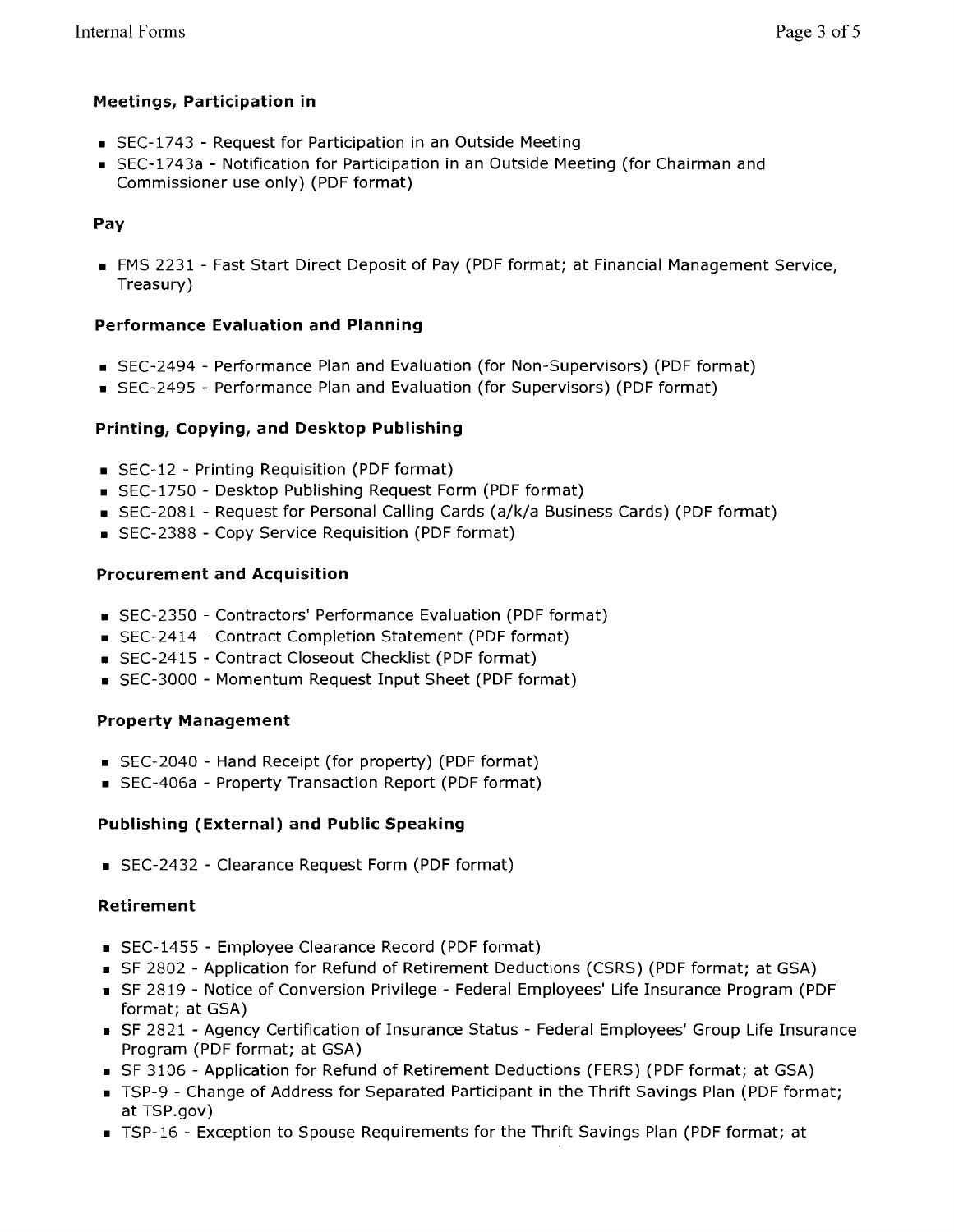# Meetings, Participation in

- SEC-1743 Request for Participation in an Outside Meeting
- SEC-1743a Notification for Participation in an Outside Meeting (for Chairman and Commissioner use only) (PDF format)

## Pay

• FMS 2231 - Fast Start Direct Deposit of Pay (PDF format; at Financial Management Service, Treasury)

## Performance Evaluation and Planning

- SEC-2494 Performance Plan and Evaluation (for Non-Supervisors) (PDF format)
- SEC-2495 Performance Plan and Evaluation (for Supervisors) (PDF format)

# Printing, Copying, and Desktop Publishing

- SEC-12 Printing Requisition (PDF format)
- SEC-1750 Desktop Publishing Request Form (PDF format)
- SEC-2081 Request for Personal Calling Cards (ajkja Business Cards) (PDF format)
- SEC-2388 Copy Service Requisition (PDF format)

#### Procurement and Acquisition

- SEC-2350 Contractors' Performance Evaluation (PDF format)
- SEC-2414 Contract Completion Statement (PDF format)
- SEC-2415 Contract Closeout Checklist (PDF format)
- SEC-3000 Momentum Request Input Sheet (PDF format)

#### Property Management

- SEC-2040 Hand Receipt (for property) (PDF format)
- SEC-406a Property Transaction Report (PDF format)

# Publishing (External) and Public Speaking

• SEC-2432 - Clearance Request Form (PDF format)

#### Retirement

- SEC-1455 Employee Clearance Record (PDF format)
- SF 2802 Application for Refund of Retirement Deductions (CSRS) (PDF format; at GSA)
- SF 2819 Notice of Conversion Privilege Federal Employees' Life Insurance Program (PDF format; at GSA)
- SF 2821 Agency Certification of Insurance Status Federal Employees' Group Life Insurance Program (PDF format; at GSA)
- SF 3106 Application for Refund of Retirement Deductions (FERS) (PDF format; at GSA)
- TSP-9 Change of Address for Separated Participant in the Thrift Savings Plan (PDF format; at TSP.gov)
- TSP-16 Exception to Spouse Requirements for the Thrift Savings Plan (PDF format; at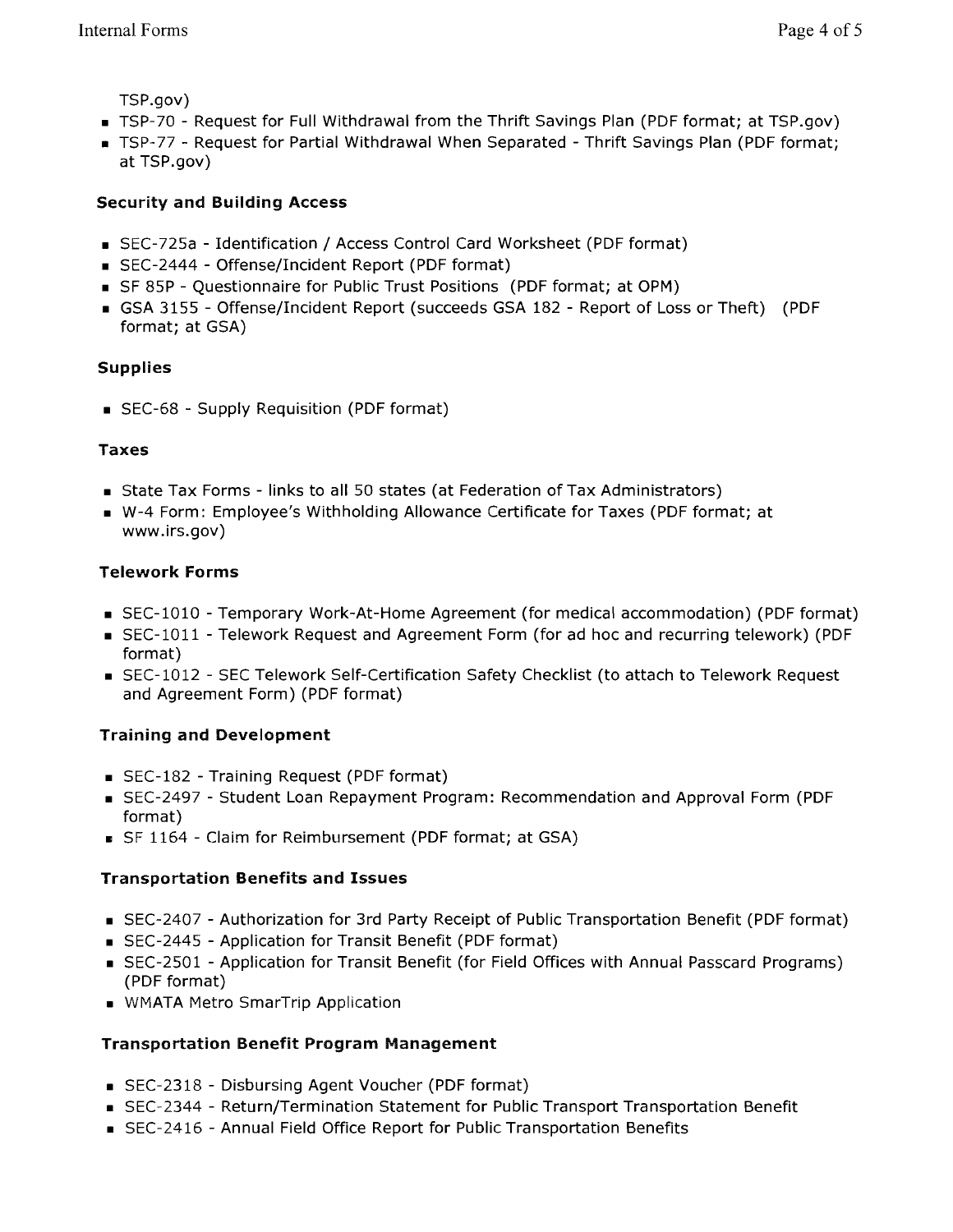TSP.gov)

- TSP-70 Request for Full Withdrawal from the Thrift Savings Plan (PDF format; at TSP.gov)
- TSP-77 Request for Partial Withdrawal When Separated Thrift Savings Plan (PDF format; at TSP.gov)

## Security and Building Access

- SEC-725a Identification / Access Control Card Worksheet (PDF format)
- SEC-2444 Offense/Incident Report (PDF format)
- SF 85P Questionnaire for Public Trust Positions (PDF format; at OPM)
- GSA 3155 Offense/Incident Report (succeeds GSA 182 Report of Loss or Theft) (PDF format; at GSA)

## Supplies

• SEC-68 - Supply Requisition (PDF format)

## Taxes

- State Tax Forms links to all 50 states (at Federation of Tax Administrators)
- W-4 Form: Employee's Withholding Allowance Certificate for Taxes (PDF format; at www.irs.gov)

## Telework Forms

- SEC-l0lO Temporary Work-At-Home Agreement (for medical accommodation) (PDF format)
- SEC-lOll Telework Request and Agreement Form (for ad hoc and recurring telework) (PDF format)
- SEC-l012 SEC Telework Self-Certification Safety Checklist (to attach to Telework Request and Agreement Form) (PDF format)

# Training and Development

- SEC-182 Training Request (PDF format)
- SEC-2497 Student Loan Repayment Program: Recommendation and Approval Form (PDF format)
- SF 1164 Claim for Reimbursement (PDF format; at GSA)

# Transportation Benefits and Issues

- SEC-2407 Authorization for 3rd Party Receipt of Public Transportation Benefit (PDF format)
- SEC-2445 Application for Transit Benefit (PDF format)
- SEC-2501 Application for Transit Benefit (for Field Offices with Annual Passcard Programs) (PDF format)
- WMATA Metro SmarTrip Application

# Transportation Benefit Program Management

- SEC-2318 Disbursing Agent Voucher (PDF format)
- SEC-2344 Return/Termination Statement for Public Transport Transportation Benefit
- SEC-2416 Annual Field Office Report for Public Transportation Benefits